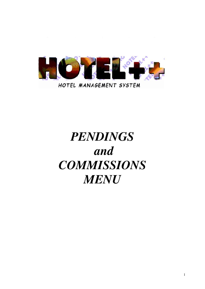

# *PENDINGS and COMMISSIONS MENU*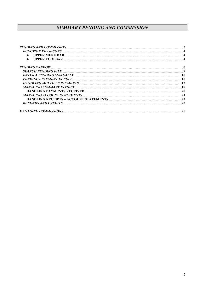## **SUMMARY PENDING AND COMMISSION**

| $\blacktriangleright$ |  |
|-----------------------|--|
|                       |  |
|                       |  |
|                       |  |
|                       |  |
|                       |  |
|                       |  |
|                       |  |
|                       |  |
|                       |  |
|                       |  |
|                       |  |
|                       |  |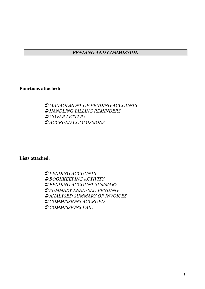## *PENDING AND COMMISSION*

**Functions attached:**

- *MANAGEMENT OF PENDING ACCOUNTS* - *HANDLING BILLING REMINDERS* - *COVER LETTERS* - *ACCRUED COMMISSIONS*

**Lists attached:**

- *PENDING ACCOUNTS* - *BOOKKEEPING ACTIVITY* - *PENDING ACCOUNT SUMMARY* - *SUMMARY ANALYSED PENDING* - *ANALYSED SUMMARY OF INVOICES* - *COMMISSIONS ACCRUED* - *COMMISSIONS PAID*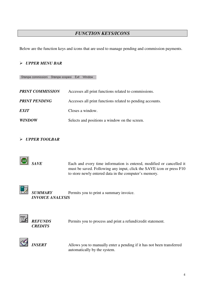## *FUNCTION KEYS/ICONS*

Below are the function keys and icons that are used to manage pending and commission payments.

#### *UPPER MENU BAR*

Stampe commissioni Stampe sospesi Exit Window

| <b>PRINT COMMISSION</b> | Accesses all print functions related to commissions.      |
|-------------------------|-----------------------------------------------------------|
| <b>PRINT PENDING</b>    | Accesses all print functions related to pending accounts. |
| <b>EXIT</b>             | Closes a window.                                          |
| <b>WINDOW</b>           | Selects and positions a window on the screen.             |

#### *UPPER TOOLBAR*



*SAVE* Each and every time information is entered, modified or cancelled it must be saved. Following any input, click the SAVE icon or press F10 to store newly entered data in the computer's memory.



*SUMMARY* Permits you to print a summary invoice. *INVOICE ANALYSIS*





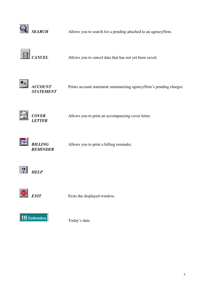

**SEARCH** Allows you to search for a pending attached to an agency/firm.



*CANCEL* Allows you to cancel data that has not yet been saved.





*ACCOUNT* Prints account statement summarising agency/firm's pending charges





*COVER* Allows you to print an accompanying cover letter.



*REMINDER*

**BILLING** Allows you to print a billing reminder.





**EXIT** Exits the displayed window.



Today's date.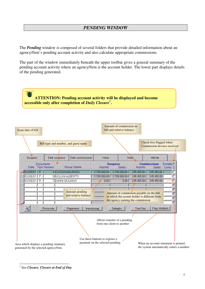## *PENDING WINDOW*

The *Pending* window is composed of several folders that provide detailed information about an agency/firm's pending account activity and also calculate appropriate commissions.

The part of the window immediately beneath the upper toolbar gives a general summary of the pending account activity where an agency/firm is the account holder. The lower part displays details of the pending generated.



<sup>1</sup> See *Closure, Closure at End of Day*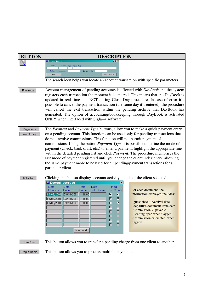| <b>BUTTON</b>             | <b>DESCRIPTION</b>                                                                                                                                                                                                                                                                                                                                                                                                                                                                                                                                                                                                                                                                                                                           |  |  |  |  |  |  |
|---------------------------|----------------------------------------------------------------------------------------------------------------------------------------------------------------------------------------------------------------------------------------------------------------------------------------------------------------------------------------------------------------------------------------------------------------------------------------------------------------------------------------------------------------------------------------------------------------------------------------------------------------------------------------------------------------------------------------------------------------------------------------------|--|--|--|--|--|--|
|                           | <b>R</b> Ricerca Sospesi<br>– ∣□   ×<br>data<br>numero<br>Fattura riepilogativa n.<br>Estratto conto n.<br>Avvia ricerca<br>Esci<br>The search icon helps you locate an account transaction with specific parameters                                                                                                                                                                                                                                                                                                                                                                                                                                                                                                                         |  |  |  |  |  |  |
| Prima nota                | Account management of pending accounts is effected with DayBook and the system<br>registers each transaction the moment it is entered. This means that the DayBook is<br>updated in real time and NOT during Close Day procedure. In case of error it's<br>possible to cancel the payment transaction (the same day it's entered), the procedure<br>will cancel the exit transaction within the pending archive that DayBook has<br>generated. The option of accounting/bookkeeping through DayBook is activated<br>ONLY when interfaced with Sigla++ software.                                                                                                                                                                              |  |  |  |  |  |  |
| Pagamento<br>Imposta pag. | The Payment and Payment Type buttons, allow you to make a quick payment entry<br>on a pending account. This function can be used only for pending transactions that<br>do not involve commissions. This function will not permit payment of<br>commissions. Using the button <i>Payment Type</i> it is possible to define the mode of<br>payment (Check, bank draft, etc.) to enter a payment, highlight the appropriate line<br>within the detailed pending list and click <i>Payment</i> . The procedure memorises the<br>last mode of payment registered until you change the client index entry, allowing<br>the same payment mode to be used for all pending/payment transactions for a<br>particular client.                           |  |  |  |  |  |  |
| Dettaglio                 | Clicking this button displays account activity details of the client selected:<br>Dettagli sospeso<br>Flag<br>Data<br>Perc<br>Data<br>Data<br>For each document, the<br>Fatt. Comm. Sosp Comm<br>Check-in<br>Partenza<br>Comm.<br>information displayed includes:<br>$03/09/2001$ 03/10/2001<br>10,00<br>⊽<br>罓<br>$03/09/2001$ $03/10/2001$<br>$\overline{\mathbf{w}}$<br>$\overline{\textbf{w}}$<br>10,00<br>Ē<br>- guest check-in/arrival date<br>$\overline{\blacksquare}$<br>03/09/2001 03/10/2001<br>10,00<br>- departure/document issue date<br>П<br>Г<br>- Commission % payable<br>$\Box$<br>г<br>- Pending open when flagged<br>Ξ<br>$\Box$<br>- Commission calculated when<br>Ē<br>$\blacksquare$<br>flagged<br>$\Box$<br>Nascondi |  |  |  |  |  |  |
| Trasf.Sos.                | This button allows you to transfer a pending charge from one client to another.                                                                                                                                                                                                                                                                                                                                                                                                                                                                                                                                                                                                                                                              |  |  |  |  |  |  |
| Pag. Multiplo             | This button allows you to process multiple payments.                                                                                                                                                                                                                                                                                                                                                                                                                                                                                                                                                                                                                                                                                         |  |  |  |  |  |  |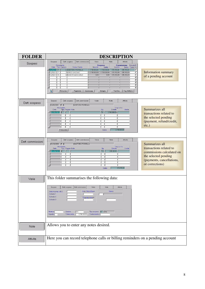| <b>FOLDER</b>     | <b>DESCRIPTION</b>                                                                                                                                                                                                                                                                                                                                                                                                                                                                                                                                                                                                                                                                                     |
|-------------------|--------------------------------------------------------------------------------------------------------------------------------------------------------------------------------------------------------------------------------------------------------------------------------------------------------------------------------------------------------------------------------------------------------------------------------------------------------------------------------------------------------------------------------------------------------------------------------------------------------------------------------------------------------------------------------------------------------|
| Sospesi           | Sospesi<br>Dett sospeso<br>Dett. commissioni<br>Varie<br>Note<br>Attivita<br>Documento<br><b>Sospeso</b><br>Commissione<br>Estratto F.<br>Nome Cliente<br>Data Tipo Numero<br>Saldo<br>Saldo<br>Conto C.<br>Importo<br>Importo<br>F<br>6 SANTORO FIORELLA<br>$2.700.000,00$ $2.700.000,00$<br>245.455.00<br>245.455.00<br>03/09/01<br><b>Information summary</b><br>$03/09/01$ F<br>7 VERDI GIACOMO<br>2.700.000.00<br>2.700.000.00<br>245.455,00<br>245.455,00<br>6 BIANCHI GIANCARLO<br>245.455,00<br>$03/09/01$ R<br>0.00<br>0.00<br>245.455,00<br>of a pending account<br>г<br>Г<br>Г<br>Г<br>$\Gamma$<br>喝<br>Dettaglio<br>Pag. Multiplo<br>Prima nota<br>Pagamento<br>Imposta pag.<br>Trasf.Sos. |
| Dett. sospeso     | Dett. commissioni<br>Varie<br>Sospesi<br>Dett. sospeso<br>Note<br>Attivita<br>03/09/2001 F 6<br>SANTORO FIORELLA<br>Movimento<br>Importo<br>Summarizes all<br>Tipo Pagam. Note<br>Op.<br>Uscite<br>Data<br>Entrate<br>$\overline{A}$<br>2.700.000,00<br>E<br>[03/09/2001]<br>transactions related to<br>the selected pending<br>(payment, refund/credit,<br>$etc.$ )<br>2.700.000,00<br>Prima nota<br>Saldo                                                                                                                                                                                                                                                                                            |
| Dett. commissioni | Sospesi<br>Dett. sospeso<br>Dett. commissioni<br>Varie<br>Note<br>Attivita<br>Summarizes all<br>SANTORO FIORELLA<br>$03/09/2001$ F 6<br>Movimento<br>Importo<br>transactions related to<br>Tipo Pagam. Note<br>Op.<br>Uscite<br>Data<br>Entrate<br>$\overline{PA}$<br>245.455.00<br>03/09/2001<br>commissions calculated on<br>the selected pending<br>(payments, cancellations,<br>or corrections)<br>245.455,00<br>Saldo                                                                                                                                                                                                                                                                             |
| Varie             | This folder summarises the following data:<br>Dett. commissioni<br>Sospesi<br>Dett. sospeso<br>Varie<br>Note<br><b>Attivita</b><br>Data Fattura Riepil.<br>Banca<br>Data Accomp. o E.C.<br>Sollecito 1<br>Sollecito 2<br>Raggruppamento<br>Sollecito 3<br>D Ditte<br><b>Struttura</b><br>Camera<br>218<br>Tipo sospeso<br>Totale conto<br>Reparto<br>2.700.000,00<br>Trasferimento i                                                                                                                                                                                                                                                                                                                   |
| Note              | Allows you to enter any notes desired.                                                                                                                                                                                                                                                                                                                                                                                                                                                                                                                                                                                                                                                                 |
| Attivita          | Here you can record telephone calls or billing reminders on a pending account                                                                                                                                                                                                                                                                                                                                                                                                                                                                                                                                                                                                                          |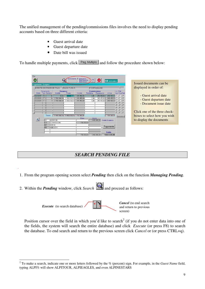The unified management of the pending/commissions files involves the need to display pending accounts based on three different criteria:

- Guest arrival date
- Guest departure date
- Date bill was issued

To handle multiple payments, click  $\sqrt{\frac{\text{Page Multiplo}}{\text{diag Multiplo}}}$  and follow the procedure shown below:

| Fxit<br>GN)<br>Pagamento Sospesi                                                                             | Ordinamento: C<br>Data Arrivo<br>Data Partenza<br>Data Docum. | <b>EXT</b><br>04 Settembre                                           | Issued documents can be                                                                                       |
|--------------------------------------------------------------------------------------------------------------|---------------------------------------------------------------|----------------------------------------------------------------------|---------------------------------------------------------------------------------------------------------------|
| <b>AVENTIS CROPSCIENCE ITALIA</b>                                                                            | PIAZZA TURR, 5                                                | 11334750 MILANO                                                      | displayed in order of:                                                                                        |
| Documento<br>Iniziale<br>Tipo Numero<br>Data                                                                 | <b>Sospeso</b><br>Iniziale<br>Finale                          | <b>Commissione</b><br>Rettifiche<br>Pagamento<br>$+/-iva$            | $+/-$ Fat.<br>Iva Com Sel                                                                                     |
| 103/09/01   R                                                                                                | 245.455.00<br>0.00<br>0.00                                    | 245.455,00<br>245.455,00<br>0.00                                     | - Guest arrival date<br>$\overline{\mathbf{v}}$                                                               |
| $ 03/09/01 $ F<br>2,700,000.00<br>6 <br> 03/09/01 <br>F<br>2.700.000.00                                      | 2.700.000,00<br>245.455.00<br>2.700.000.00<br>245.455.00      | 245.455,00<br>245.455,00<br>0.00<br>245.455,00<br>245.455,00<br>0.00 | ⊽<br>- Guest departure date<br>⊽<br>- Document issue date<br>г                                                |
| Totale<br>5.400.000,00<br>$\mathbb{R}$<br>ASSEGNI<br>lAS.<br><b>COMMISSIONI</b><br>lco<br><b>SPESE</b><br>SP | 5.400.000,00<br>736.365.00<br>Dare<br>736.365,00              | 736.365,00<br>Avere<br>5.400.000,00 Totale Sospeso                   | Click one of the three check-<br>П<br>boxes to select how you wish<br>Deseleziona<br>to display the documents |
| ABBUONI<br>AR.                                                                                               | 736.365.00                                                    | Pagamento<br>Saldo<br>5.400.000.00<br>$-4.663.635.00$                |                                                                                                               |

## *SEARCH PENDING FILE*

- 1. From the program opening screen select *Pending* then click on the function *Managing Pending*.
- 2. Within the *Pending* window, click *Search*  $\mathbb{Q}$  and proceed as follows:



Position cursor over the field in which you'd like to search<sup>2</sup> (if you do not enter data into one of the fields, the system will search the entire database) and click *Execute* (or press F8) to search the database. To end search and return to the previous screen click *Cancel* or (or press CTRL+q).

<sup>2</sup> To make a search, indicate one or more letters followed by the % (percent) sign. For example, in the *Guest Name* field, typing ALPI% will show ALPITOUR, ALPIEAGLES, and even ALPINESTARS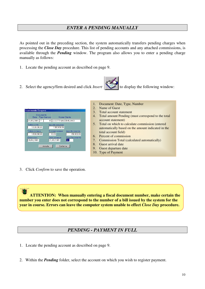## *ENTER A PENDING MANUALLY*

As pointed out in the preceding section, the system automatically transfers pending charges when processing the *Close Day* procedure. This list of pending accounts and any attached commissions, is available through the *Pending* window. The program also allows you to enter a pending charge manually as follows:

- 1. Locate the pending account as described on page 9.
- 2. Select the agency/firm desired and click *Insert* **the select of the following window:**





- 1. Document: Date, Type, Number
- 2. Name of Guest
- 3. Total account statement
- 4. Total amount Pending (must correspond to the total account statement)
- 5. Total on which to calculate commission (entered automatically based on the amount indicated in the total account field)
- 6. Percent of commission
- 7. Commission Total (calculated automatically)
- 8. Guest arrival date
- 9. Guest departure date
- 10. Type of Payment
- 3. Click *Confirm* to save the operation.

**ATTENTION: When manually entering a fiscal document number, make certain the number you enter does not correspond to the number of a bill issued by the system for the year in course. Errors can leave the computer system unable to effect** *Close Day* **procedure.**

## *PENDING - PAYMENT IN FULL*

- 1. Locate the pending account as described on page 9.
- 2. Within the *Pending* folder, select the account on which you wish to register payment.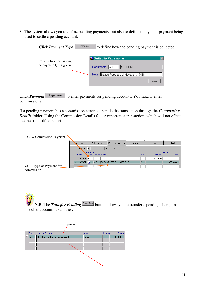3. The system allows you to define pending payments, but also to define the type of payment being used to settle a pending account:

> Click *Payment Type* **the limposta...** It define how the pending payment is collected **S Dettaglio Pagamento** Press F9 to select among the payment types given Documento AS ASSEGNO Nota Banca Popolare di Novara n. 17458 Esci

Click *Payment*  $\sqrt{\frac{P_{\text{tagamento}}}{P}}$  to enter payments for pending accounts. You *cannot* enter commissions.

If a pending payment has a commission attached, handle the transaction through the *Commission Details* folder. Using the Commission Details folder generates a transaction, which will not effect the the front office report.

| $CP =$ Commission Payment  |            |       |                  |                                   |       |     |            |                 |
|----------------------------|------------|-------|------------------|-----------------------------------|-------|-----|------------|-----------------|
|                            | Sospesi    |       | Dett. sospeso    | Dett. commissioni                 | Varie |     | Note       | <b>Attivita</b> |
|                            | 20/09/2001 | F 164 |                  | <b>PALLA LUIGI</b>                |       |     |            |                 |
|                            | Movimento  |       |                  |                                   |       |     |            | Importo         |
|                            | Data       |       | Tipo Pagam, Note |                                   |       | Op  | Entrate    | Uscite          |
|                            | 20/09/2001 | IE    |                  |                                   |       | ™А. | 370.909,00 |                 |
|                            | 25/09/2001 |       |                  | <b>C</b> CO PAGAMENTO COMMISSIONE |       | 33  |            | 370.909,00      |
| $CO = Type of Payment for$ |            |       |                  |                                   |       |     |            |                 |
| commission                 |            |       |                  |                                   |       |     |            |                 |

**N.B.** The *Transfer Pending* **Trast. Sos** button allows you to transfer a pending charge from one client account to another.

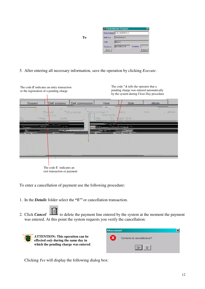|           | <b>A Trasferimento Sospesi.</b> |         |        |
|-----------|---------------------------------|---------|--------|
|           | Destinatario 31 EUROPE PLC      |         |        |
| Indirizzo | Via Orefici, 2                  |         |        |
| Città     | Milano                          |         |        |
| Telefono  | 02/72003210                     | Nazione |        |
| Esci      |                                 |         | Esequi |

#### 5. After entering all necessary information, save the operation by clicking *Execute*.

**To**

| The code $E$ indicates an entry transaction<br>or the registration of a pending charge                               |                                  |                                                                      |                                                                                                                                         | The code $\tilde{A}$ tells the operator that a<br>pending charge was entered automatically<br>by the system during Close Day procedure                                                                                               |           |                  |  |  |  |  |
|----------------------------------------------------------------------------------------------------------------------|----------------------------------|----------------------------------------------------------------------|-----------------------------------------------------------------------------------------------------------------------------------------|--------------------------------------------------------------------------------------------------------------------------------------------------------------------------------------------------------------------------------------|-----------|------------------|--|--|--|--|
| Sospesi                                                                                                              | Dett. sospeso                    | Dett. commissioni                                                    | Varie                                                                                                                                   | Note:                                                                                                                                                                                                                                | Attivita. |                  |  |  |  |  |
| 85. S<br><b>Company of Company</b>                                                                                   | $\mathcal{L}_{\rm eff}$<br>Jefin | Diff. spectast<br>$\mathbf{u} \in \mathbb{R}^{n \times n}$           | a di conservazione di col<br>Versionente<br>Nasiya K<br><b>The Local</b>                                                                | $\mathcal{A}$<br>A serie:<br>agaw. Xab                                                                                                                                                                                               | New York  | <b>Committee</b> |  |  |  |  |
| <u> 1999 - 1992 - 1993 - 1994 - 1994 - 1994 - 1994 - 1994 - 1994 - 1994 - 1994 - 1994 - 1994 - 1994 - 1994 - 199</u> | $200 - 200 = 0$<br>عثمان         |                                                                      | a ma diseasan mara<br>ويقوي                                                                                                             | <u> There is a community of the community of the community of the community of the community of the community of the community of the community of the community of the community of the community of the community of the commu</u> |           |                  |  |  |  |  |
| <b>State</b>                                                                                                         | <b>ALC</b>                       |                                                                      | Alberta Alberta                                                                                                                         |                                                                                                                                                                                                                                      |           |                  |  |  |  |  |
| <b>ALC</b><br>$\sim$ $\sim$<br><b>College</b>                                                                        | 18,900<br>$\sim$<br><b>ALC</b>   | <b>Contract Contract</b><br><b>State Street</b><br><b>Card</b><br>n. | and the company of the company<br>the control of<br><b>Contract Contract</b><br><b>Contract</b><br><b>Contractor</b><br><b>Contract</b> | <b>Contract</b><br><b>Contract</b><br><b>Contractor</b><br><b>Contractor</b>                                                                                                                                                         |           |                  |  |  |  |  |
|                                                                                                                      |                                  |                                                                      |                                                                                                                                         |                                                                                                                                                                                                                                      |           |                  |  |  |  |  |

The code *U* indicates an exit transaction or payment

To enter a cancellation of payment use the following procedure:

- 1. In the *Details* folder select the **"***U"* or cancellation transaction.
- 2. Click **Cancel** to delete the payment line entered by the system at the moment the payment was entered. At this point the system requests you verify the cancellation:



Clicking *Yes* will display the following dialog box: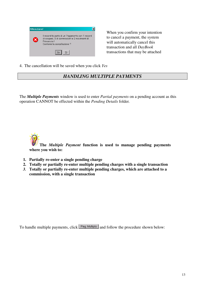

When you confirm your intention to cancel a payment, the system will automatically cancel this transaction and all *DayBook* transactions that may be attached

4. The cancellation will be saved when you click *Yes*

## *HANDLING MULTIPLE PAYMENTS*

The *Multiple Payments* window is used to enter *Partial payments* on a pending account as this operation CANNOT be effected within the *Pending Details* folder*.*

**The** *Multiple Payment* **function is used to manage pending payments where you wish to:**

- **1. Partially re-enter a single pending charge**
- **2. Totally or partially re-enter multiple pending charges with a single transaction**
- *3.* **Totally or partially re-enter multiple pending charges, which are attached to a commission, with a single transaction**

To handle multiple payments, click  $\sqrt{\frac{\text{Page Multiplo}}{\text{diag Multiplo}}}$  and follow the procedure shown below: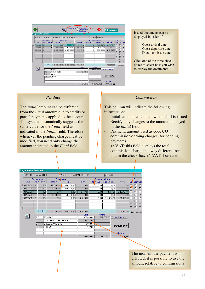| Exit |                          |                     |                                 |                            |                |                                                                |            |                                 |                 |            |                      |                         |
|------|--------------------------|---------------------|---------------------------------|----------------------------|----------------|----------------------------------------------------------------|------------|---------------------------------|-----------------|------------|----------------------|-------------------------|
|      | (SAVE)                   |                     |                                 | hey                        | Ordinamento:   | $\epsilon$<br>Data Arrivo<br>c<br>Data Partenza<br>Data Docum. | \$)        | <b>EXT</b>                      | 04 Settembre    |            |                      |                         |
|      | <b>Pagamento Sospesi</b> |                     |                                 |                            |                |                                                                |            |                                 |                 |            |                      |                         |
|      |                          |                     |                                 | AVENTIS CROPSCIENCE ITALIA | PIAZZA TURR, 5 |                                                                |            | 11334750 MILANO                 |                 |            |                      |                         |
|      | Data                     |                     | Documento<br><b>Tipo Numero</b> | <b>Sospeso</b><br>Iniziale | Finale         | Iniziale                                                       | Rettifiche | <b>Commissione</b><br>Pagamento | $+/-iva$        | <b>Iva</b> | $+/-$ Fat.<br>Com Se |                         |
|      | 03/09/01                 | в                   |                                 | 0,00<br>6                  | 0,00           | 245.455,00                                                     | 0.00       | 245.455,00                      | 245.455,00      |            | г                    | ⊽                       |
|      | 03/09/01                 |                     |                                 | 2.700.000,00<br>ĥ          | 2.700.000,00   | 245.455,00                                                     | 0.00       | 245.455,00                      | 245.455,00      |            | г                    | $\overline{\mathbf{v}}$ |
|      | 03/09/01                 |                     |                                 | 2.700.000,00               | 2.700.000,00   | 245.455,00                                                     | 0,00       | 245.455,00                      | 245.455,00      |            | г                    | $\overline{\mathbf{v}}$ |
|      |                          |                     |                                 |                            |                |                                                                |            |                                 |                 |            | Л                    | г                       |
|      |                          |                     |                                 |                            |                |                                                                |            |                                 |                 |            | г                    | г                       |
|      |                          |                     |                                 |                            |                |                                                                |            |                                 |                 |            | Г<br>$\Gamma$        | г                       |
|      |                          |                     |                                 |                            |                |                                                                |            |                                 |                 |            | г                    | г                       |
|      |                          |                     |                                 |                            |                |                                                                |            |                                 |                 |            |                      |                         |
|      |                          |                     | Totale                          | 5.400.000,00               | 5.400.000,00   | 736.365,00                                                     |            |                                 | 736.365,00      |            | Deselezion           |                         |
|      |                          | AS                  |                                 | ASSEGNI                    |                | Dare                                                           | Avere      | 5.400.000,00 Totale Sospeso     |                 |            |                      |                         |
|      |                          | $\overline{\infty}$ |                                 | <b>COMMISSIONI</b>         |                | 736.365.00                                                     |            |                                 |                 |            |                      |                         |
|      |                          | <b>SP</b>           |                                 | <b>SPESE</b>               |                |                                                                |            |                                 |                 |            |                      |                         |
|      |                          | <b>AB</b>           |                                 | <b>ABBUONI</b>             |                |                                                                |            |                                 | Pagamento       |            |                      |                         |
|      |                          |                     |                                 |                            |                |                                                                |            |                                 |                 |            |                      |                         |
|      |                          |                     |                                 |                            |                |                                                                |            |                                 | <b>Saldo</b>    |            |                      |                         |
|      |                          |                     |                                 |                            |                | 736.365.00                                                     |            | 5.400.000.00                    | $-4.663.635.00$ |            |                      |                         |

*Pending*

indicated in the *Initial* field. Therefore, whenever the pending charge must be modified, you need only change the amount indicated in the *Final* field.

The *Initial* amount can be different from the *Final* amount due to credits or partial payments applied to the account. The system automatically suggests the same value for the *Final* field as

#### Issued documents can be displayed in order of:

- Guest arrival date
- Guest departure date
- Document issue date

Click one of the three checkboxes to select how you wish to display the documents

#### *Commission*

This column will indicate the following information:

- Initial: amount calculated when a bill is issued
- Rectify: any changes to the amount displayed in the *Initial* field
- Payment: amount used as code CO = commission-earning charges, for pending payments
- +/-VAT: this field displays the total commission charge in a way different from that in the check-box +/- VAT if selected

| Pagamento Sospesi   |           |                    |                            |                          |              |            |                           |              |             |                   |   |
|---------------------|-----------|--------------------|----------------------------|--------------------------|--------------|------------|---------------------------|--------------|-------------|-------------------|---|
| BONOMI E PAGANI SRL |           |                    |                            | VIA PAOLO DA CANNOBIO, 2 |              |            | <b>MILANO</b>             |              |             |                   |   |
|                     |           | Documento          | <b>Sospeso</b>             |                          |              |            | Commissione               |              | $+/-$       | Fat.              |   |
| Data                |           | <b>Tipo Numero</b> | Iniziale                   | Finale                   | Iniziale     | Rettifiche | Pagamento                 | $+/-i\vee a$ | <b>Ival</b> | Com <sup>St</sup> |   |
| 08/09/01            | B         | 106                | 450.000.00                 | 450.000.00               | 0.00         |            | 0.00<br>0.00              | 0.00         |             |                   | ℝ |
| 08/09/01            | B         | 107                | 300.000,00                 | 300.000,00               | 0.00         | 0.00       | 0.00                      | 0.00         |             | г                 | R |
| 08/09/01            | F         | 131                | 0.00                       | 0.00                     | 1.112.727.00 |            | 0.00<br>112.727,00        | 1.112.727.00 |             | ╔                 | г |
| 08/09/01            | F         | 132                | 35,000.00                  | 35.000.00                | 0.00         | 0.00       | 0.00                      | 0.00         |             | г                 | ℝ |
| 09/09/01            | F         | 134                | 0.00                       | 0.00                     | 181.818,00   |            | 181.818.00<br>0.00        | 181.818.00   |             | г                 | ℝ |
|                     |           |                    |                            |                          |              |            |                           |              |             | г                 |   |
|                     |           |                    |                            |                          |              |            |                           |              |             | г                 |   |
|                     |           |                    |                            |                          |              |            |                           |              |             |                   |   |
|                     |           | Totale             | 785,000,00                 | 785.000,00               | 181.818.00   |            |                           | 181.818.00   |             | Deselezion        |   |
|                     |           |                    |                            |                          | Dare         |            | Avere                     |              |             |                   |   |
| 曳                   |           | BO13               | <b>BONIFICO</b>            |                          | 600.000,00   |            | 785.000,00 Totale Sospeso |              |             |                   |   |
|                     | lсо       |                    | <b>INCASSO COMMISSIONE</b> |                          | 181.818.00   |            |                           |              |             |                   |   |
|                     | <b>SP</b> |                    | <b>SPESE BANCARIE</b>      |                          |              | 3.000,00   |                           |              |             |                   |   |
|                     | lАB       |                    | ABBUONI                    |                          |              | 182,00     |                           | Pagamento    |             |                   |   |
|                     |           |                    |                            |                          |              |            |                           |              |             |                   |   |
|                     |           |                    |                            |                          |              |            |                           | Saldo        |             |                   |   |
|                     |           |                    |                            |                          | 785,000,00   |            | 785,000.00                | 0.00         |             |                   |   |

The moment the payment is effected, it is possible to use the amount relative to commissions

#### 14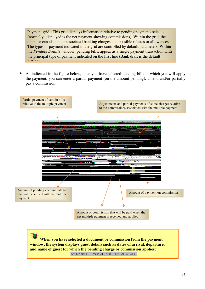Payment grid: This grid displays information relative to pending payments selected (normally, displayed is the net payment showing commissions). Within the grid, the operator can also enter associated banking charges and possible rebates or allowances. The types of payment indicated in the grid are controlled by default parameters. Within the *Pending Details* window, pending bills, appear as a single payment transaction with the principal type of payment indicated on the first line (Bank draft is the default  $satina)$ 

• As indicated in the figure below, once you have selected pending bills to which you will apply the payment, you can enter a partial payment (on the amount pending), amend and/or partially pay a commission.

Partial payment of certain bills

relative to the multiple payment **Adjustments** and partial payments of some charges relative to the commissions associated with the multiple payment



**When you have selected a document or commission from the payment window, the system displays guest details such as dates of arrival, departure, and name of guest for which the pending charge or commission applies:**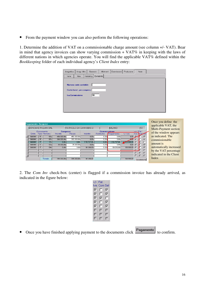• From the payment window you can also perform the following operations:

1. Determine the addition of VAT on a commissionable charge amount (see column +/- VAT). Bear in mind that agency invoices can show varying commission + VAT% in keeping with the laws of different nations in which agencies operate. You will find the applicable VAT% defined within the *Bookkeeping* folder of each individual agency's *Client Index* entry:



| Pagamento Sospesi |    |                                                |                |                          |              |                                                           |              |            |             |               |    | Once you define the<br>applicable VAT, the |
|-------------------|----|------------------------------------------------|----------------|--------------------------|--------------|-----------------------------------------------------------|--------------|------------|-------------|---------------|----|--------------------------------------------|
|                   |    | <b>BONOMI E PAGANI SRL</b><br><b>Documento</b> | <b>Sospeso</b> | VIA PAOLO DA CANNOBIO, 2 |              | <b>MILANO</b><br>$ 10\rangle$<br>$+/-$ Fat<br>Commissione |              |            |             |               |    | Multi-Payment section                      |
| Data.             |    | Tipo Numero                                    | Iniziale       | Finale                   | Iniziale     | Rettifiche                                                | Pagamento    | $+/-$ iva  | <b>Ival</b> | <b>Comoel</b> |    | of the window appears                      |
| 08/09/01          | B. | 106                                            | 450.000.00     | 450.000,00               | 0,00         | 0,00                                                      | 0,00         | 0.00       | R           |               | ☞  | as indicated. The                          |
| 08/09/01          | B. | 107                                            | 300.000,00     | 300.000,00               | 0.00         | 0.00                                                      | 0.00         | 200        | ⊽           |               | ⊽  | commissionable                             |
| 08/09/01          |    | 131                                            | 0.00           | 0.00                     | 1,112,727,00 | 0.00                                                      | 1,112,727,00 | 23.999,00  | ⊽           | ঢ             |    | amount is                                  |
| 08/09/01          | F  | 132 <sub>1</sub>                               | 35,000,00      | 35,000,00                | 0.00         | 0,00                                                      | 0,00         | 0,00       | ☞           |               | ঢ় |                                            |
| 09/09/01          | F  | 134                                            | 0.00           | 0.00                     | 181,818,00   | 0.00                                                      | 181.818.00   | 199,999,00 | ☞           |               | ঢ় | automatically increased                    |
|                   |    |                                                |                |                          |              |                                                           |              |            |             |               |    | by the VAT percentage                      |
|                   |    |                                                |                |                          |              |                                                           |              |            |             |               |    | indicated in the Client                    |
|                   |    |                                                |                |                          |              |                                                           |              |            |             | г             |    |                                            |
|                   |    | Totale                                         | 785,000.00     | 785,000.00               | 181.818.00   |                                                           |              | 199.999,00 |             | Deselezional  |    | Index                                      |

2. The *Com Inv* check-box (center) is flagged if a commission invoice has already arrived, as indicated in the figure below:

| +/- | Fat.    |   |
|-----|---------|---|
| lva | Com Sel |   |
| ⊽   | п       | ⊽ |
| ⊽   | ⊓       | ⊽ |
| ⊽   | ⊽       | г |
| ⊽   | п       | ⊽ |
| ⊽   | ⊓       | ⊽ |
| □   | ┌       | П |
|     |         |   |
|     |         |   |

• Once you have finished applying payment to the documents click **Pagamento** to confirm.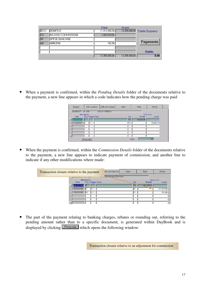|                  |                            | Dare          | Avere         |                              |
|------------------|----------------------------|---------------|---------------|------------------------------|
| BO <sub>13</sub> | <b>BONFICO</b>             | 11.912.000,00 |               | 13.355.000,00 Totale Sospeso |
| <b>CO</b>        | <b>INCASSO COMMISSIONE</b> | 1.442.818,00  |               |                              |
| <b>SP</b>        | <b>SPESE BANCARIE</b>      |               |               |                              |
| <b>AB</b>        | <b>ABBUON</b>              | 182.00        |               | Pagamento                    |
|                  |                            |               |               |                              |
|                  |                            |               |               | <b>Saldo</b>                 |
|                  |                            | 13.355,000.00 | 13.355.000,00 | 0,00                         |

• When a payment is confirmed, within the *Pending Details* folder of the documents relative to the payment, a new line appears in which a code indicates how the pending charge was paid

| Sospesi          |            | Dett. sospeso    | Dett. commissioni | Varie | Note       | Attivita   |  |
|------------------|------------|------------------|-------------------|-------|------------|------------|--|
| 08/09/2001 R 106 |            |                  | PEGGY SPEEDY      |       |            |            |  |
|                  | Movimento  |                  |                   |       |            | Importo    |  |
| <b>Data</b>      |            | Tipo Pagam. Note |                   | Op.   | Entrate    | Uscite     |  |
| 08/09/2001 日     |            |                  |                   | l~A   | 450.000,00 |            |  |
| 10/09/2001 U     |            | Iвo              |                   | lΜE   |            | 450.000,00 |  |
|                  |            |                  |                   |       |            |            |  |
|                  |            |                  |                   |       |            |            |  |
|                  |            |                  |                   |       |            |            |  |
|                  |            |                  |                   |       |            |            |  |
|                  | Prima nota |                  |                   |       | Saldo      | 0.00       |  |

• When the payment is confirmed, within the *Commission Details* folder of the documents relative to the payment, a new line appears to indicate payment of commission, and another line to indicate if any other modifications where made:

| Transaction closure relative to the payment |               |           |                  |  |                 |                  | Note       | Attivita   |
|---------------------------------------------|---------------|-----------|------------------|--|-----------------|------------------|------------|------------|
|                                             |               |           |                  |  | DOKAN MALESYANO |                  |            |            |
|                                             |               | Movimento |                  |  |                 |                  |            | Importo    |
|                                             | Data          |           | Tipo Pagam. Note |  |                 | Op.              | Entrate    | Uscite     |
|                                             | 20/09/2001 日  |           |                  |  |                 | l <sup>∾</sup> A | 181.818,00 |            |
|                                             | 25/09/2001    |           |                  |  |                 | 133              |            | 181.000,00 |
|                                             | 25/09/2001 SC |           | BO1              |  |                 | 133              |            | 818,00     |
|                                             |               |           |                  |  |                 |                  |            |            |
|                                             |               |           |                  |  |                 |                  |            |            |
|                                             |               |           |                  |  |                 |                  |            |            |

The part of the payment relating to banking charges, rebates or rounding out, referring to the pending amount rather than to a specific document, is generated within DayBook and is displayed by clicking **Frimancia** which opens the following window:

Transaction closure relative to an adjustment for commission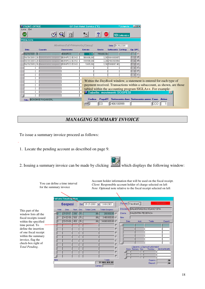| <b>ED FRONT-OFFICE</b>              |                                     |                                | GP Dati Hotel Service ("E) |                                                                                                                                                                                                                                                      |                                                                    | **Jolanda  ■■■ |                                                                                                 |      |  |  |
|-------------------------------------|-------------------------------------|--------------------------------|----------------------------|------------------------------------------------------------------------------------------------------------------------------------------------------------------------------------------------------------------------------------------------------|--------------------------------------------------------------------|----------------|-------------------------------------------------------------------------------------------------|------|--|--|
| Liste Exit                          |                                     |                                |                            |                                                                                                                                                                                                                                                      |                                                                    |                |                                                                                                 |      |  |  |
| <b>GND</b>                          |                                     | m                              | $\ast_{\mathbb{X}}$        | EXF                                                                                                                                                                                                                                                  |                                                                    | 10 Settembre   |                                                                                                 |      |  |  |
| Prima nota                          |                                     |                                |                            |                                                                                                                                                                                                                                                      |                                                                    |                |                                                                                                 |      |  |  |
|                                     |                                     | Movimenti di Primanota (Cassa) |                            |                                                                                                                                                                                                                                                      | Data 10/09/2001                                                    |                |                                                                                                 |      |  |  |
| <b>Data</b>                         | <b>Causale</b>                      | <b>Descrizione</b>             | <b>Entrate</b>             | <b>Uscite</b>                                                                                                                                                                                                                                        | Sottoconto Controp.                                                |                | Op.CPC.                                                                                         |      |  |  |
| 10/09/2001 20 Generica inc. sospesi |                                     | <b>BONIFICO</b>                | 0.00                       | 785.000,00                                                                                                                                                                                                                                           |                                                                    |                | $\overline{\ }$ $\overline{\ }$ $\overline{\ }$ $\overline{\ }$ $\overline{\ }$ $\overline{\ }$ |      |  |  |
|                                     | 10/09/2001 20 Generica inc. sospesi | <b>BONIFICO BONO</b>           | 580.000,00                 |                                                                                                                                                                                                                                                      | 0,00 1801000097                                                    |                | Ⅳ                                                                                               |      |  |  |
|                                     | 10/09/2001 20 Generica inc. sospesi | <b>BONIFICO BONO</b>           | 199.999,00                 |                                                                                                                                                                                                                                                      | 0,00 2406100999                                                    |                | ⊮                                                                                               |      |  |  |
|                                     | 10/09/2001 20 Generica inc. sospesi | <b>BONIFICO BONO</b>           | 5.001,00                   |                                                                                                                                                                                                                                                      | 0,00 5106000140                                                    |                |                                                                                                 |      |  |  |
|                                     |                                     |                                |                            |                                                                                                                                                                                                                                                      |                                                                    |                |                                                                                                 |      |  |  |
|                                     |                                     |                                |                            |                                                                                                                                                                                                                                                      |                                                                    |                |                                                                                                 |      |  |  |
|                                     |                                     |                                |                            |                                                                                                                                                                                                                                                      |                                                                    |                |                                                                                                 |      |  |  |
|                                     |                                     |                                |                            | Within the $DayBook$ window, a statement is entered for each type of<br>payment received. Transactions within a subaccount, as shown, are those<br>tabled within the accounting program SIGLA++. For example:<br><b>C</b> Tabelle: movimenti SOSPESI |                                                                    |                |                                                                                                 |      |  |  |
|                                     | Ditta BONOMI E PAGANI SRL           |                                | Codice                     | cо                                                                                                                                                                                                                                                   | PagaDT Sottoconto dare Sottoconto avere Caus. Attivo<br>2406100999 |                |                                                                                                 | ICCO |  |  |

## *MANAGING SUMMARY INVOICE*

To issue a summary invoice proceed as follows:

- 1. Locate the pending account as described on page 9.
- 2. Issuing a summary invoice can be made by clicking  $\mathbb{Z}$  which displays the following window:

You can define a time interval



Account holder information that will be used on the fiscal receipt.

*Client*: Responsible account holder of charge selected on left for the summary invoice *Note*: Optional note relative to the fiscal receipt selected on left**Fattura Riepilogativa** Formato Standard **Sospesi** Dal 01-01-2000 al 13-08-2001 SALMOIRAGHI & VIGANO' SPA Intestata Hotel Data Num Doc **Totale Conto Totale Sospeso** This part of the Cliente **MALENTINI FEDERICA** 亍  $\boxed{01-01-01}$   $\boxed{200}$   $\boxed{R}$  $200.000,00$  $\overline{00}$ window lists all the  $04-02-00$  560 R  $3.400.000,00$ 叵  $\overline{00}$ Note fiscal receipts issued **IR**  $\overline{100}$ 34.000.000,00 within the specified  $\overline{\mathbb{H}}$  $\sqrt{02-01-00}$   $\sqrt{450}$ Data Add Totale Conerti time period. To Е  $\blacksquare$ define the insertion of one fiscal receipt Е within the summary  $\blacksquare$ invoice, flag the  $\blacksquare$ check-box right of  $\blacksquare$ *Caparre / Depositi utilizzabili*<br>Anno Numero Doc. Residuo - D *Total Pending*. Н ...<br>DA SCARICARE  $\Gamma$  $\Gamma$ Caparre  $\overline{.00}$  $\frac{100}{37.600.000,00}$ Depositi |  $\overline{.00}$ Cambio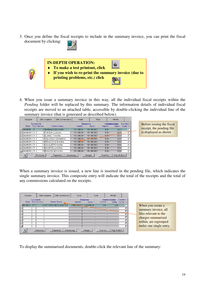3. Once you define the fiscal receipts to include in the summary invoice, you can print the fiscal document by clicking:





4. When you issue a summary invoice in this way, all the individual fiscal receipts within the *Pending* folder will be replaced by this summary. The information details of individual fiscal receipts are moved to an attached table, accessible by double-clicking the individual line of the summary invoice (that is generated as described below).

| Sospesi      |              |                                                 | Dett. sospeso        | Dett. commissioni                  | Varie        |           | Note       |            | Attivita                                                          |               |  |                           |  |
|--------------|--------------|-------------------------------------------------|----------------------|------------------------------------|--------------|-----------|------------|------------|-------------------------------------------------------------------|---------------|--|---------------------------|--|
| Data         |              | <b>Documento</b><br>Nome Cliente<br>Tipo Numero |                      | <b>Sospeso</b><br>Saldo<br>Importo |              |           |            |            | Estratto F.<br><b>Commissione</b><br>Saldo<br>Conto C.<br>Importo |               |  | Before issuing the fiscal |  |
| $04/09/01$ R |              |                                                 | 8 SINIBALDI GIOVANNI |                                    | 161.000.00   |           | 161.000.00 | 0,00       | 0,00                                                              |               |  | receipt, the pending file |  |
| 104/09/01    | <b>B</b>     |                                                 | 9 FORIERI CLAUDIO    |                                    | 161.000.00   |           | 161.000.00 | 0,00       | 0,00                                                              |               |  | is displayed as shown     |  |
| 04/09/01     | <b>B</b>     |                                                 | 10 ZUANETTI ANNA     |                                    | 161.000.00   |           | 161.000.00 | 0,00-      | 0,00                                                              |               |  |                           |  |
| 104/09/01 I  | -R           |                                                 |                      | 11 MALVASON ERMANNO                | 161.000.00   |           | 161.000,00 | 0,00       | 0,00                                                              |               |  |                           |  |
| 04/09/01     | <b>R</b>     |                                                 | 12 PENACCHIONI ANNA  |                                    | 161.000,00   |           | 161.000.00 | 0.00       | 0.00                                                              |               |  |                           |  |
| 104/09/01 1  | $\mathsf{R}$ |                                                 | 13 CAVALETTO MARA    |                                    | 161.000,00   |           | 161.000,00 | 0.00       | 0.00                                                              |               |  |                           |  |
| 04/09/01     | $\mathsf{R}$ |                                                 | 14 ZANICHELLI MARIA  |                                    | 161.000.00   |           | 161.000,00 | 0.00       | 0.00                                                              |               |  |                           |  |
| 04/09/01     | $\mathsf{R}$ |                                                 | 15 EINAUDI GIOVANNI  |                                    | 161.000.00   |           | 161.000.00 | 0.00       | 0.00                                                              |               |  |                           |  |
| $\mathbb{R}$ |              | Prima nota                                      |                      | Pagamento                          | Imposta pag. | Dettaglio |            | Trasf.Sos. |                                                                   | Paq. Multiplo |  |                           |  |

When a summary invoice is issued, a new line is inserted in the pending file, which indicates the single summary invoice. This composite entry will indicate the total of the receipts and the total of any commissions calculated on the receipts.

| Sospesi                                     | Dett. sospeso | Dett.commissioni                                     | Varie<br>Note                    |                           | Attivita           |                       |                               |                                                                                                                                              |
|---------------------------------------------|---------------|------------------------------------------------------|----------------------------------|---------------------------|--------------------|-----------------------|-------------------------------|----------------------------------------------------------------------------------------------------------------------------------------------|
| <b>Documento</b><br>Data Tipo Numero        |               | Nome Cliente                                         | <b>Sospeso</b><br><b>Importo</b> | Saldo                     | Importo            | <b>Commissione</b>    | Estratto F.<br>Saldo Conto C. |                                                                                                                                              |
| 05/09/01 FR<br>$\mathbb{R}^3$<br>Prima nota |               | 8 FATTURA RIEPILOGATIVA<br>Pagamento<br>Imposta pag. | 1,288,000.00                     | 1.288,000,00<br>Dettaglio | 0,00<br>Trasf.Sos. | 0.00<br>Paq. Multiplo |                               | When you create a<br>summary invoice, all<br>files relevant to the<br>charges summarised<br>within, are regrouped<br>under one single entry. |

To display the summarised documents, double-click the relevant line of the summary: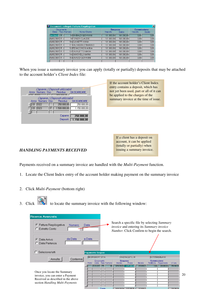|                |           | Documenti collegati Fattura Riepilogativa |                            |                | $\boldsymbol{\mathsf{x}}$ |             |       |  |
|----------------|-----------|-------------------------------------------|----------------------------|----------------|---------------------------|-------------|-------|--|
|                | Documento |                                           |                            | <b>Sospeso</b> |                           | Commissione |       |  |
|                |           | Data Tipo Numero                          | Nome Cliente               | Importo        | Saldo                     | Importo     | Saldo |  |
| $ 04/09/20 $ R |           |                                           | 8 SINIBALDI GIOVANNI       | 161.000.00     | 161,000.00                | 0.00        | 0.00  |  |
| 4/09/200 R     |           |                                           | 9 FORIERI CLAUDIO          | 161.000,00     | 161.000.00                | 0.00        | 0,00  |  |
| 4/09/200 R     |           |                                           | 10 ZUANETTI ANNA           | 161.000,00     | 161.000,00                | 0.00        | 0.00  |  |
| 4/09/200   R   |           |                                           | 11 VALVASON ERMANNO        | 161.000,00     | 161.000,00                | 0.00        | 0.00  |  |
| 4/09/200 R     |           |                                           | 12 PENACCHIONI ANNA        | 161.000.00     | 161.000.00                | 0.00        | 0.00  |  |
| 14/09/2001 R   |           |                                           | 13 CAVALETTO MARA          | 161.000,00     | 161.000.00                | 0.00        | 0.00  |  |
| 4/09/200 R     |           |                                           | 14 ZANICHELLI MARIA        | 161.000,00     | 161.000,00                | 0.00        | 0.00  |  |
| 4/09/200 R     |           |                                           | <b>15 EINAUDI GIOVANNI</b> | 161.000,00     | 161.000,00                | 0.00        | 0.00  |  |
|                |           |                                           |                            |                |                           |             |       |  |

When you issue a summary invoice you can apply (totally or partially) deposits that may be attached to the account holder's *Client Index* file:

|                                                  | Caparre / Depositi utilizzabili |              |
|--------------------------------------------------|---------------------------------|--------------|
| Anno Numero Doc. Residuo                         |                                 | DA SCARICARE |
| $1\overline{\text{Cov}}$ $\overline{\text{Sov}}$ | 250,000,00                      |              |
|                                                  | Caparre / Depositi utilizzabili |              |
| Anno Numero Doc. Residuo DASCARICARE             |                                 |              |
| $\overline{01}$ 3322                             | 250.000,00                      | 250,000,00   |
| 01 3323                                          | 1.500.000,00                    | 1.150.000,00 |
|                                                  |                                 |              |
|                                                  | Caparre                         | 250.000,00   |
|                                                  | Depositi                        | 1.150.000,00 |
|                                                  |                                 |              |

If the account holder's Client Index entry contains a deposit, which has not yet been used, part or all of it can be applied to the charges of the summary invoice at the time of issue.

> If a client has a deposit on account, it can be applied (totally or partially) when issuing a summary invoice.

#### *HANDLING PAYMENTS RECEIVED*

Payments received on a summary invoice are handled with the *Multi-Payment* function.

- 1. Locate the Client Index entry of the account holder making payment on the summary invoice
- 2. Click *Multi-Payment* (bottom right)
- 3. Click to locate the summary invoice with the following window:

| Ricerca Avanzata<br>€ Fattura Riepilogativa<br><b>Numero</b><br>C. Estratto Conto                                                        | Data                        |                         | Search a specific file by selecting Summary<br>invoice and entering its Summary invoice<br>Number. Click Confirm to begin the search. |                        |                                            |                               |
|------------------------------------------------------------------------------------------------------------------------------------------|-----------------------------|-------------------------|---------------------------------------------------------------------------------------------------------------------------------------|------------------------|--------------------------------------------|-------------------------------|
| da Data<br>Data Arrivo<br>€<br>Data Partenza<br>n.<br>Seleziona tutti                                                                    | a Data<br>Pagamento Sospesi |                         |                                                                                                                                       |                        |                                            |                               |
|                                                                                                                                          | <b>BEIERSDORF S.P.A.</b>    |                         | VIA ERACLITO, 30                                                                                                                      |                        | 00719560 MILANO                            |                               |
| Annulla<br>Conferma                                                                                                                      | Documento                   |                         | <b>Sospeso</b>                                                                                                                        |                        | Commissione                                |                               |
| Once you locate the Summary<br>invoice, you can enter a Payment<br>Received as described in the above<br>section Handling Multi-Payments | Hotel<br>08-10-2001 FR      | Data Tipo Numero<br>180 | Iniziale<br>Finale<br>1.870.000,00<br>1,870,000.00                                                                                    | Iniziale<br>209.090.00 | Rettifiche Pagamento<br>209,090.00<br>0.00 | $+/-$ iva<br>250,908.00<br>20 |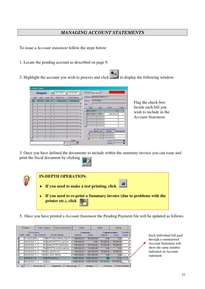## *MANAGING ACCOUNT STATEMENTS*

To issue a *Account statement* follow the steps below:

1. Locate the pending account as described on page 9.

2. Highlight the account you wish to process and click  $\frac{120}{\sqrt{25}}$  to display the following window:



Flag the check-box beside each bill you wish to include in the *Account Statement*.

3. Once you have defined the documents to include within the summary invoice you can issue and print the fiscal document by clicking



5. Once you have printed a *Account Statement* the Pending Payment file will be updated as follows.

|      | Sospesi                 |            | Dett. sospeso |               |                         | Dett. commissioni | Varie                       |                         | Note         |            |      | Attivita             |                        |
|------|-------------------------|------------|---------------|---------------|-------------------------|-------------------|-----------------------------|-------------------------|--------------|------------|------|----------------------|------------------------|
|      | Documento<br>Hotel Data |            | Tipo Numero   |               | Nome Cliente            |                   | Importo                     | <b>Sospeso</b><br>Saldo |              | Importo    |      | Commissione<br>Saldo | EstrattoF.<br>Conto C. |
|      | $31/10/01$ FR           |            |               |               | 215 FATTURA RIEPILOGATI |                   | 900.000.00                  |                         | 900.000.00   |            | 0.00 | 0.00                 |                        |
|      | 30/10/01   F            |            |               |               | 418 MARCHETTI CLAUDIA   |                   | 500.000.00                  |                         | 0.00         | 50.000.00  |      | 50.000.00            |                        |
|      | 30/10/01   F            |            |               |               | 467 MARCHETTI GIORGIO   |                   | 500.000.00                  |                         | 300,000.00   | 50.000.00  |      | 50.000.00            |                        |
|      | 30/10/01   F            |            |               |               | 654 BERTON ANNA MARIA   |                   | 900.000.00                  |                         | 100.000.00   |            | 0.00 | 0.00                 |                        |
|      | 30/10/01   R.           |            |               |               | 8980 QUAIN RUDY         |                   | 300.000,00                  |                         | 300.000,00   | 30.000.00  |      | 30.000.00            |                        |
|      | 130/10/01   R           |            |               |               | 8985 QUAINI CINZIA      |                   | 650,000.00                  |                         | 650,000.00   |            | 0.00 | $0.09 -$             |                        |
|      | $\log$ /10/01 R         |            |               | 240 VERONELLI |                         |                   | 4.080.000.00                |                         | 4.080.000.00 |            |      | (0.00)               |                        |
|      | 08/10/01                | F          |               | 186 MAL       |                         |                   | $3.080.000.00$ 3.080.000.00 |                         |              | 370,909.00 |      | 370.909.00           |                        |
| श्री |                         | Prima nota |               |               | Pagamento               | Imposta pag.      |                             | Dettaglio               |              | Trasf.Sos. |      |                      | Pag. Multiplo          |

Each Individual bill paid through a summarised Account Statement will show the same number indicated on Account statement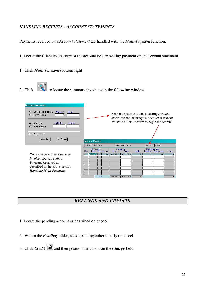### *HANDLING RECEIPTS – ACCOUNT STATEMENTS*

Payments received on a *Account statement* are handled with the *Multi-Payment* function.

1. Locate the Client Index entry of the account holder making payment on the account statement

- 1. Click *Multi-Payment* (bottom right)
- 2. Click  $\ddot{\ddot{\mathbf{x}}}$  to locate the summary invoice with the following window:

| Ricerca Avanzata<br>C Fattura Riepilogativa<br>Numero<br>Data<br>Estratto Conto<br>G.<br>da Data<br>a Data<br><b>C</b> Data Arrivo<br>C. Data Partenza<br>Seleziona tutti<br>Annulla<br>Conferma |                          |                          | Search a specific file by selecting Account<br>statement and entering its Account statement<br>Number. Click Confirm to begin the search. |                           |                   |                    |                      |           |
|--------------------------------------------------------------------------------------------------------------------------------------------------------------------------------------------------|--------------------------|--------------------------|-------------------------------------------------------------------------------------------------------------------------------------------|---------------------------|-------------------|--------------------|----------------------|-----------|
|                                                                                                                                                                                                  | gamento Sospesi          |                          |                                                                                                                                           |                           |                   |                    |                      |           |
|                                                                                                                                                                                                  | <b>BEIERSDORF S.P.A.</b> |                          |                                                                                                                                           | VIA ERACLITO, 30          |                   |                    | 00719560 MILANO      |           |
|                                                                                                                                                                                                  | Data<br>Hotel            | Documento<br>Tipo Numero | <b>Sospeso</b><br>Iniziale                                                                                                                | Finale                    | Iniziale          | <b>Commissione</b> | Rettifiche Pagamento | $+/-$ iva |
| Once you select the <i>Summary</i>                                                                                                                                                               | 109-10-2001              | 240<br>$\overline{R}$    |                                                                                                                                           | 4.080.000,00 4.080.000,00 | 0.00              | 0.00               | 0.00                 | 0.00      |
| <i>invoice</i> , you can enter a                                                                                                                                                                 |                          |                          |                                                                                                                                           |                           |                   |                    |                      |           |
| Payment Received as                                                                                                                                                                              |                          |                          |                                                                                                                                           |                           |                   |                    |                      |           |
| described in the above section                                                                                                                                                                   |                          |                          |                                                                                                                                           |                           |                   |                    |                      |           |
| Handling Multi Payments                                                                                                                                                                          |                          |                          |                                                                                                                                           |                           |                   |                    |                      |           |
|                                                                                                                                                                                                  |                          |                          |                                                                                                                                           |                           |                   |                    |                      |           |
|                                                                                                                                                                                                  |                          | Totale                   |                                                                                                                                           | 4.080.000,00 4.080.000,00 | $\overline{0.00}$ |                    |                      | 0.00      |

## *REFUNDS AND CREDITS*

- 1. Locate the pending account as described on page 9.
- 2. Within the *Pending* folder, select pending either modify or cancel.
- 3. Click *Credit* and then position the cursor on the *Charge* field.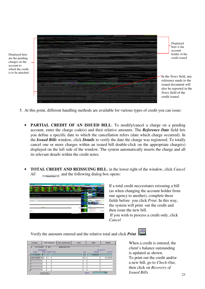|                                                                          | Displayed                      |
|--------------------------------------------------------------------------|--------------------------------|
|                                                                          | here is the                    |
|                                                                          | account                        |
|                                                                          | holder of the                  |
|                                                                          |                                |
|                                                                          | credit issued                  |
|                                                                          |                                |
|                                                                          |                                |
|                                                                          |                                |
|                                                                          |                                |
|                                                                          | Th the <i>Notes</i> field, any |
|                                                                          | reference made to the          |
|                                                                          |                                |
| man Art and NWA committee that the<br>e and the control<br><b>County</b> | issued document will           |
| 24.                                                                      | also be reported in the        |
|                                                                          | Notes field of the             |
| 24.000                                                                   | credit issued.                 |
| A.                                                                       |                                |
| $\sim$<br>$\sim$                                                         |                                |

5. At this point, different handling methods are available for various types of credit you can issue:

- **PARTIAL CREDIT OF AN ISSUED BILL**: To modify/cancel a charge on a pending account, enter the charge code(s) and their relative amounts. The *Reference Date* field lets you define a specific date to which the cancellation refers (date which charge occurred). In the *Issued Bills* window, click *Details* to verify the date the charge was registered. To totally cancel one or more charges within an issued bill double-click on the appropriate charge(s) displayed on the left side of the window. The system automatically inserts the charge and all its relevant details within the credit notes.
- **TOTAL CREDIT AND REISSUING BILL**: in the lower right of the window, click *Cancel All* **a**<sub>Shma</sub><sub>Lith</sub> and the following dialog box opens:



Displayed here are the pending charges on the account to which the credit is to be attached

> If a total credit neccesitates reissuing a bill (as when changing the account holder from one agency to another), complete these fields before you click *Print*. In this way, the system will print out the credit and then issue the new bill.

If you wish to process a credit only, click *Cancel*

Verify the amounts entered and the relative total and click *Print* .

| Sospesi<br>Dett. sospeso |                               | Dett. commissioni | Varie            | Note       | <b>Attivita</b>   |  |
|--------------------------|-------------------------------|-------------------|------------------|------------|-------------------|--|
|                          | $17/09/2001$ F 46             | <b>BEIERSDORF</b> |                  |            |                   |  |
| Data                     | Movimento<br>Tipo Pagam. Note |                   | Op.              | Entrate    | Importo<br>Uscite |  |
| 17/09/2001 E             |                               |                   | l <sup>~</sup> A | 100.000,00 |                   |  |
| 03/12/2001 NC            | ISC                           |                   | rΈ               |            | 100,000.00        |  |
|                          |                               |                   |                  |            |                   |  |
|                          |                               |                   |                  |            |                   |  |
|                          |                               |                   |                  |            |                   |  |
|                          |                               |                   |                  |            |                   |  |
|                          | Prima nota                    |                   |                  | Saldo      | 0.00              |  |

When a credit is entered, the client's balance outstanding is updated as shown. To print out the credit and/or a new bill, go to *Check-Out*, then click on *Recovery of Issued Bills*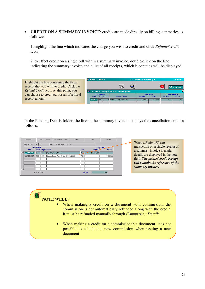• **CREDIT ON A SUMMARY INVOICE**: credits are made directly on billing summaries as follows:

1. highlight the line which indicates the charge you wish to credit and click *Refund/Credit* icon

2. to effect credit on a single bill within a summary invoice, double-click on the line indicating the summary invoice and a list of all receipts, which it contains will be displayed

|                                              | <b>EX FRONT-OFFICE</b><br>GP Dati Hotel Service ("E)<br>**Jolanda. |                                    |                                 |  |  |  |
|----------------------------------------------|--------------------------------------------------------------------|------------------------------------|---------------------------------|--|--|--|
| Highlight the line containing the fiscal     |                                                                    |                                    |                                 |  |  |  |
| receipt that you wish to credit. Click the   | <b>B</b>                                                           |                                    | 408 Settembre                   |  |  |  |
| Refund/Credit icon. At this point, you       | Documenti collegati Fattura Riepilogativa                          |                                    |                                 |  |  |  |
| can choose to credit part or all of a fiscal | <b>Documento</b><br>Data Tipo Numero<br>Nome Cliente               | <b>Sospeso</b><br>Importo<br>Saldo | Commissione<br>Saldo<br>Importo |  |  |  |
| receipt amount.                              | 105 FANTOZZI BABBUINA<br>108/09/20 R I                             | 27.200.00<br>27.200.00             | 0.001<br>0.00                   |  |  |  |
|                                              |                                                                    |                                    |                                 |  |  |  |

In the Pending Details folder, the line in the summary invoice, displays the cancellation credit as follows:

| Dett. commissioni<br>Varie<br>Dett. sospeso<br>Sospesi                                                                                                                   | Attivita<br>Note                                                                     |                                                                                                                                                                                                                |
|--------------------------------------------------------------------------------------------------------------------------------------------------------------------------|--------------------------------------------------------------------------------------|----------------------------------------------------------------------------------------------------------------------------------------------------------------------------------------------------------------|
| 08/09/2001 F 129<br>FATTURA RIEPILOGATIVA<br>Movimento<br>Tipo Pagam. Note<br>Data<br>AUTOMATICO FR<br>08/09/2001<br>08/09/2001 NC SO Esequito su R n.105 del 08/09/2001 | Importo.<br>Op.<br>Uscite<br>Entrate<br>27.200.00<br>$^{\sim}$ A<br>27,200.00<br>l~E | When a <i>Refund/Credit</i><br>transaction on a single receipt of<br>a summary invoice is made,<br>details are displayed in the note<br>field. The printed credit receipt<br>will contain the reference of the |
| Prima nota                                                                                                                                                               | 0,00<br>Saldo                                                                        | summary invoice.                                                                                                                                                                                               |

#### 零 **NOTE WELL:**

- When making a credit on a document with commission, the commission is not automatically refunded along with the credit. It must be refunded manually through *Commission Details*
- When making a credit on a commissionable document, it is not possible to calculate a new commission when issuing a new document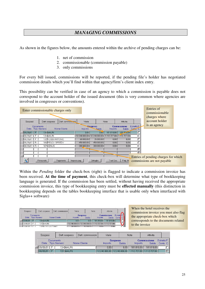## *MANAGING COMMISSIONS*

As shown in the figures below, the amounts entered within the archive of pending charges can be:

- 1. net of commission
- 2. commissionable (commission payable)
- 3. only commissions

For every bill issued, commissions will be reported, if the pending file's holder has negotiated commission details which you'll find within that agency/firm's client index entry.

This possibility can be verified in case of an agency to which a commission is payable does not correspond to the account holder of the issued document (this is very common where agencies are involved in congresses or conventions).

| Enter commissionable charges only |             |                |                  |                   |                   |                |                |            |                                                       | Entries of<br>commissionable |  |                                                                     |  |
|-----------------------------------|-------------|----------------|------------------|-------------------|-------------------|----------------|----------------|------------|-------------------------------------------------------|------------------------------|--|---------------------------------------------------------------------|--|
|                                   |             |                |                  |                   |                   |                |                |            |                                                       |                              |  | charges where<br>account holder                                     |  |
|                                   | Sospesi     |                |                  | Dett. sospeso     | Dett. commissioni | Varie          |                | Note       | Attivita                                              |                              |  |                                                                     |  |
|                                   |             |                | <b>Documento</b> |                   |                   |                | <b>Sospeso</b> |            | <b>Commissione</b>                                    | Estratto F.                  |  | is an agency                                                        |  |
|                                   | Data        |                | Tipo Numero      |                   | Nome Cliente      | <b>Importo</b> | Saldo          | Importo    | Saldo                                                 | Conta C.                     |  |                                                                     |  |
|                                   | los/os/o1 L | F              |                  | 134 MAURI         |                   | 0,00           | 0.00           | 181.818,00 | 181.845,00                                            |                              |  |                                                                     |  |
|                                   | 08/09/01    | E              |                  | 131 MAURI         |                   |                |                |            | 12.240.000.00 12.240.000.00 1.112.727.00 1.112.727.00 |                              |  |                                                                     |  |
|                                   | 08/09/01    | E              |                  | 132 ROSSI ANTONIO |                   | 60.000.00      | 35,000.00      | 0,00       | 0.00                                                  |                              |  |                                                                     |  |
|                                   | 08/09/01    | $\overline{R}$ |                  | 106 PEGGY SPEEDY  |                   | 450,000,00     | 450,000.00     |            | 0,00<br>0,00                                          |                              |  |                                                                     |  |
|                                   | 08/09/01    | <b>B</b>       |                  | 107 VENUS         |                   | 300,000.00     | 300.000.00     |            | 0,00<br>0,00                                          |                              |  |                                                                     |  |
|                                   |             |                |                  |                   |                   |                |                |            |                                                       |                              |  |                                                                     |  |
|                                   |             |                |                  |                   |                   |                |                |            |                                                       |                              |  |                                                                     |  |
|                                   |             |                |                  |                   |                   |                |                |            |                                                       |                              |  |                                                                     |  |
|                                   | 飞           |                | Prima nota       |                   | Pagamento         | Imposta pag.   | Dettaglio      | Trasf.Sos. | Pag. M                                                |                              |  | Entries of pending charges for which<br>commissions are not payable |  |

Within the *Pending* folder the check-box (right) is flagged to indicate a commission invoice has been received. **At the time of payment**, this check-box will determine what type of bookkeeping language is generated. If the commission has been settled, without having received the appropriate commission invoice, this type of bookkeeping entry must be **effected manually** (this distinction in bookkeeping depends on the tables bookkeeping interface that is usable only when interfaced with Sigla++ software)

| Sospesi           | Dett. sospeso            |                  | Dett commissioni | Varie     |                         | Note                                   | Attivita                                              |                   |
|-------------------|--------------------------|------------------|------------------|-----------|-------------------------|----------------------------------------|-------------------------------------------------------|-------------------|
| Data              | Documento<br>Tipo Numero |                  | Nome Cliente     | Importo   | <b>Sospeso</b><br>Saldo | <b>Commissione</b><br>Saldo<br>Importo |                                                       | Estrattd<br>Conto |
| 409/09/01 L<br>▐▆ |                          | 34 MAURI         |                  | 0.001     | 0.001                   | 181.818,00                             | 181.818.00                                            |                   |
| 08/09/01<br>F     |                          | 131 MAURI        |                  |           |                         |                                        | 12.240.000.00 12.240.000.00 1.112.727.00 1.112.727.00 |                   |
|                   |                          | 32 ROSSI ANTONIO |                  | 60,000.00 | 35.000.00 L             | 0.001                                  | 0.00                                                  |                   |

When the hotel receives the commission invoice you must also flag the appropriate check-box which corressponds to the documents related to the invoice

| Sospesi                           |  | Dett. sospeso | Dett. commissioni / | Varie                                                 |      | Note                                   | Attivita   |                             |   |
|-----------------------------------|--|---------------|---------------------|-------------------------------------------------------|------|----------------------------------------|------------|-----------------------------|---|
| Documento<br>Tipo Numerol<br>Data |  |               | Nome Cliente        | <b>Sospeso</b><br>Saldo<br>Importo                    |      | <b>Commissione</b><br>Saldo<br>Importo |            | Estratto F.II<br>Conto C.II |   |
| 409/09/01 L                       |  | 134 MAURI     |                     | 0.001                                                 | 0.00 | 181.818,00                             | 181.818,00 |                             |   |
| 08/09/01                          |  | 131 MAURI     |                     | 12.240.000,00 12.240.000,00 1.112.727,00 1.112.727,00 |      |                                        |            |                             | 미 |